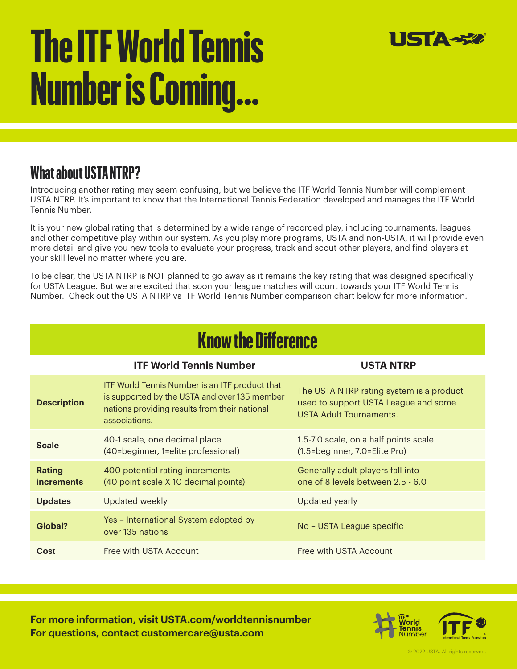# **The ITF World Tennis Number is Coming...**



#### **What about USTA NTRP?**

Introducing another rating may seem confusing, but we believe the ITF World Tennis Number will complement USTA NTRP. It's important to know that the International Tennis Federation developed and manages the ITF World Tennis Number.

It is your new global rating that is determined by a wide range of recorded play, including tournaments, leagues and other competitive play within our system. As you play more programs, USTA and non-USTA, it will provide even more detail and give you new tools to evaluate your progress, track and scout other players, and find players at your skill level no matter where you are.

To be clear, the USTA NTRP is NOT planned to go away as it remains the key rating that was designed specifically for USTA League. But we are excited that soon your league matches will count towards your ITF World Tennis Number. Check out the USTA NTRP vs ITF World Tennis Number comparison chart below for more information.

|  | <b>Know the Difference</b> |  |
|--|----------------------------|--|
|  |                            |  |

|                                    | <b>ITF World Tennis Number</b>                                                                                                                                          | <b>USTA NTRP</b>                                                                                            |
|------------------------------------|-------------------------------------------------------------------------------------------------------------------------------------------------------------------------|-------------------------------------------------------------------------------------------------------------|
| <b>Description</b>                 | <b>ITF World Tennis Number is an ITF product that</b><br>is supported by the USTA and over 135 member<br>nations providing results from their national<br>associations. | The USTA NTRP rating system is a product<br>used to support USTA League and some<br>USTA Adult Tournaments. |
| <b>Scale</b>                       | 40-1 scale, one decimal place<br>(40=beginner, 1=elite professional)                                                                                                    | 1.5-7.0 scale, on a half points scale<br>(1.5=beginner, 7.0=Elite Pro)                                      |
| <b>Rating</b><br><i>increments</i> | 400 potential rating increments<br>(40 point scale X 10 decimal points)                                                                                                 | Generally adult players fall into<br>one of 8 levels between 2.5 - 6.0                                      |
| <b>Updates</b>                     | Updated weekly                                                                                                                                                          | Updated yearly                                                                                              |
| Global?                            | Yes - International System adopted by<br>over 135 nations                                                                                                               | No - USTA League specific                                                                                   |
| <b>Cost</b>                        | Free with USTA Account                                                                                                                                                  | Free with USTA Account                                                                                      |

**For more information, visit USTA.com/worldtennisnumber For questions, contact customercare@usta.com**



ම 2022 USTA. All rights